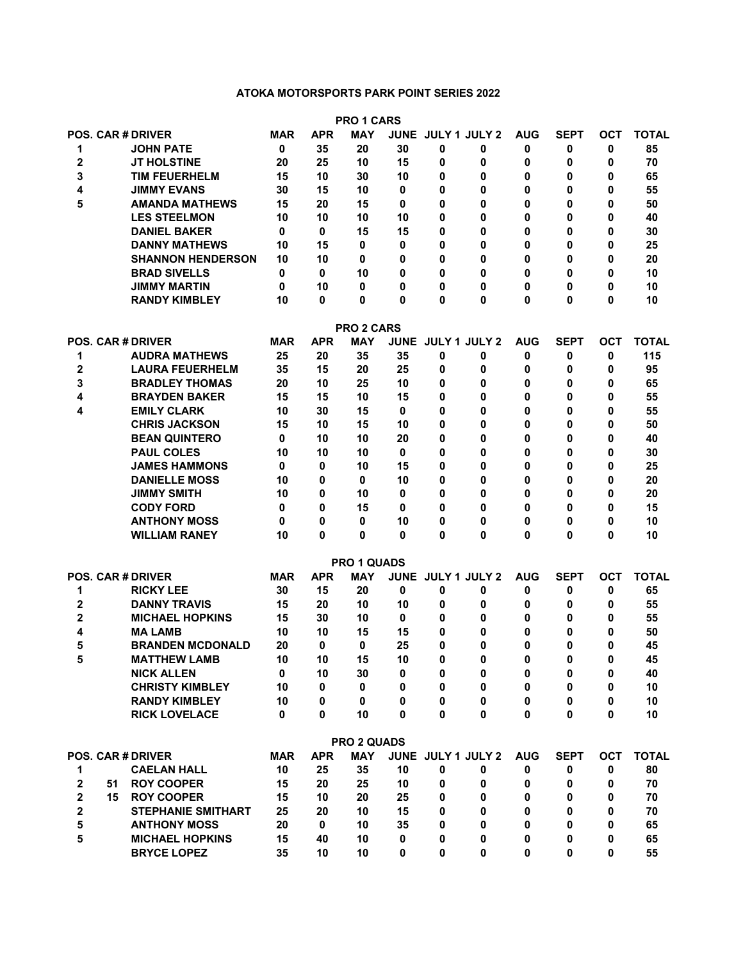## **ATOKA MOTORSPORTS PARK POINT SERIES 2022**

|                              |    |                                                  |             |            | <b>PRO 1 CARS</b>                |             |                           |        |            |                |            |              |
|------------------------------|----|--------------------------------------------------|-------------|------------|----------------------------------|-------------|---------------------------|--------|------------|----------------|------------|--------------|
|                              |    | <b>POS. CAR # DRIVER</b>                         | <b>MAR</b>  | <b>APR</b> | <b>MAY</b>                       | <b>JUNE</b> | JULY 1 JULY 2             |        | <b>AUG</b> | <b>SEPT</b>    | <b>OCT</b> | <b>TOTAL</b> |
| 1                            |    | <b>JOHN PATE</b>                                 | 0           | 35         | 20                               | 30          | 0                         | 0      | 0          | 0              | 0          | 85           |
| $\overline{2}$               |    | JT HOLSTINE                                      | 20          | 25         | 10                               | 15          | 0                         | 0      | 0          | 0              | 0          | 70           |
| 3                            |    | <b>TIM FEUERHELM</b>                             | 15          | 10         | 30                               | 10          | 0                         | 0      | 0          | 0              | 0          | 65           |
| 4                            |    | JIMMY EVANS                                      | 30          | 15         | 10                               | 0           | 0                         | 0      | 0          | 0              | 0          | 55           |
| 5                            |    | <b>AMANDA MATHEWS</b>                            | 15          | 20         | 15                               | 0           | 0                         | 0      | 0          | 0              | 0          | 50           |
|                              |    | <b>LES STEELMON</b>                              | 10          | 10         | 10                               | 10          | 0                         | 0      | 0          | 0              | 0          | 40           |
|                              |    | <b>DANIEL BAKER</b>                              | 0           | 0          | 15                               | 15          | 0                         | 0      | 0          | 0              | 0          | 30           |
|                              |    | <b>DANNY MATHEWS</b>                             | 10          | 15         | 0                                | 0           | 0                         | 0      | 0          | 0              | 0          | 25           |
|                              |    | <b>SHANNON HENDERSON</b>                         | 10          | 10         | 0                                | 0           | 0                         | 0      | 0          | 0              | 0          | 20           |
|                              |    | <b>BRAD SIVELLS</b>                              | 0           | 0          | 10                               | 0           | 0                         | 0      | 0          | 0              | 0          | 10           |
|                              |    | <b>JIMMY MARTIN</b>                              | 0           | 10         | 0                                | 0           | 0                         | 0      | 0          | 0              | 0          | 10           |
|                              |    | <b>RANDY KIMBLEY</b>                             | 10          | 0          | 0                                | 0           | 0                         | 0      | 0          | 0              | 0          | 10           |
|                              |    |                                                  |             |            |                                  |             |                           |        |            |                |            |              |
|                              |    |                                                  |             |            | <b>PRO 2 CARS</b>                |             |                           |        |            |                |            |              |
|                              |    | <b>POS. CAR # DRIVER</b>                         | MAR         | <b>APR</b> | <b>MAY</b>                       |             | JUNE JULY 1 JULY 2        |        | <b>AUG</b> | <b>SEPT</b>    | <b>OCT</b> | <b>TOTAL</b> |
| 1                            |    | <b>AUDRA MATHEWS</b>                             | 25          | 20         | 35                               | 35          | 0                         | 0      | 0          | 0              | 0          | 115          |
| $\overline{2}$               |    | <b>LAURA FEUERHELM</b>                           | 35          | 15         | 20                               | 25          | 0                         | 0      | 0          | 0              | 0          | 95           |
| 3                            |    | <b>BRADLEY THOMAS</b>                            | 20          | 10         | 25                               | 10          | 0                         | 0      | 0          | 0              | 0          | 65           |
| 4                            |    | <b>BRAYDEN BAKER</b>                             | 15          | 15         | 10                               | 15          | 0                         | 0      | 0          | 0              | 0          | 55           |
| 4                            |    | <b>EMILY CLARK</b>                               | 10          | 30         | 15                               | 0           | 0                         | 0      | 0          | 0              | 0          | 55           |
|                              |    | <b>CHRIS JACKSON</b>                             | 15          | 10         | 15                               | 10          | 0                         | 0      | 0          | 0              | 0          | 50           |
|                              |    | <b>BEAN QUINTERO</b>                             | 0           | 10         | 10                               | 20          | 0                         | 0      | 0          | 0              | 0          | 40           |
|                              |    | <b>PAUL COLES</b>                                | 10          | 10         | 10                               | 0           | 0                         | 0      | 0          | 0              | 0          | 30           |
|                              |    | <b>JAMES HAMMONS</b>                             | 0           | 0          | 10                               | 15          | 0                         | 0      | 0          | 0              | 0          | 25           |
|                              |    | <b>DANIELLE MOSS</b>                             | 10          | 0          | 0                                | 10          | 0                         | 0      | 0          | 0              | 0          | 20           |
|                              |    | <b>JIMMY SMITH</b>                               | 10          | 0          | 10                               | 0           | 0                         | 0      | 0          | 0              | 0          | 20           |
|                              |    | <b>CODY FORD</b>                                 | 0           | 0          | 15                               | 0           | 0                         | 0      | 0          | 0              | 0          | 15           |
|                              |    | <b>ANTHONY MOSS</b>                              | 0           | 0          | 0                                | 10          | 0                         | 0      | 0          | 0              | 0          | 10           |
|                              |    | <b>WILLIAM RANEY</b>                             | 10          | 0          | 0                                | 0           | 0                         | 0      | 0          | 0              | 0          | 10           |
|                              |    |                                                  |             |            |                                  |             |                           |        |            |                |            |              |
|                              |    |                                                  |             |            | PRO 1 QUADS                      |             |                           |        |            |                |            |              |
|                              |    | <b>POS. CAR # DRIVER</b>                         | MAR         | <b>APR</b> | <b>MAY</b>                       |             | <b>JUNE JULY 1 JULY 2</b> |        | <b>AUG</b> | <b>SEPT</b>    | <b>OCT</b> | <b>TOTAL</b> |
| 1                            |    | <b>RICKY LEE</b>                                 | 30          | 15         | 20                               | 0           | 0                         | 0      | 0          | 0              | 0          | 65           |
| $\mathbf{2}$                 |    | <b>DANNY TRAVIS</b>                              | 15          | 20         | 10                               | 10          | 0                         | 0      | 0          | 0              | 0          | 55           |
| 2                            |    | <b>MICHAEL HOPKINS</b>                           | 15          | 30         | 10                               | 0           | 0                         | 0      | 0          | 0              | 0          | 55           |
| 4                            |    | <b>MA LAMB</b>                                   | 10          | 10         | 15                               | 15          | 0                         | 0      | 0          | 0              | 0          | 50           |
| 5                            |    | <b>BRANDEN MCDONALD</b>                          | 20          | 0          | 0                                | 25          | 0                         | 0      | 0          | 0              | 0          | 45           |
| 5                            |    | <b>MATTHEW LAMB</b>                              | 10          | 10         | 15                               | 10          | 0                         | 0      | 0          | 0              | 0          | 45           |
|                              |    | <b>NICK ALLEN</b>                                | $\mathbf 0$ | 10         | 30                               | 0           | 0                         | 0      | 0          | 0              | 0          | 40           |
|                              |    | <b>CHRISTY KIMBLEY</b>                           | 10          | 0          | $\mathbf 0$                      | 0           | 0                         | 0      | 0          | $\mathbf 0$    | 0          | 10           |
|                              |    | <b>RANDY KIMBLEY</b>                             | 10          | 0          | $\mathbf 0$                      | 0           | 0                         | 0      | 0          | 0              | 0          | 10           |
|                              |    | <b>RICK LOVELACE</b>                             | 0           | 0          | 10                               | 0           | $\bf{0}$                  | 0      | 0          | 0              | 0          | 10           |
|                              |    |                                                  |             |            |                                  |             |                           |        |            |                |            |              |
|                              |    | <b>POS. CAR # DRIVER</b>                         |             |            | <b>PRO 2 QUADS</b><br><b>MAY</b> |             | JUNE JULY 1 JULY 2        |        | <b>AUG</b> | <b>SEPT</b>    | <b>OCT</b> |              |
|                              |    |                                                  | <b>MAR</b>  | <b>APR</b> |                                  |             |                           |        |            |                |            | <b>TOTAL</b> |
| 1                            |    | <b>CAELAN HALL</b>                               | 10          | 25         | 35                               | 10          | 0                         | 0      | 0          | 0              | 0          | 80           |
| 2<br>$\overline{\mathbf{2}}$ | 51 | <b>ROY COOPER</b>                                | 15<br>15    | 20<br>10   | 25<br>20                         | 10<br>25    | 0<br>0                    | 0      | 0<br>0     | 0              | 0          | 70           |
| $\overline{\mathbf{2}}$      | 15 | <b>ROY COOPER</b>                                | 25          | 20         | 10                               | 15          | 0                         | 0<br>0 | $\bf{0}$   | 0<br>0         | 0<br>0     | 70<br>70     |
| 5                            |    | <b>STEPHANIE SMITHART</b><br><b>ANTHONY MOSS</b> | 20          | 0          | 10                               | 35          | 0                         | 0      | 0          |                | 0          |              |
| 5                            |    |                                                  | 15          |            |                                  |             |                           | 0      | 0          | 0              | 0          | 65           |
|                              |    | <b>MICHAEL HOPKINS</b><br><b>BRYCE LOPEZ</b>     | 35          | 40         | 10<br>10                         | 0<br>0      | 0<br>0                    | 0      | 0          | 0<br>$\pmb{0}$ | 0          | 65<br>55     |
|                              |    |                                                  |             | 10         |                                  |             |                           |        |            |                |            |              |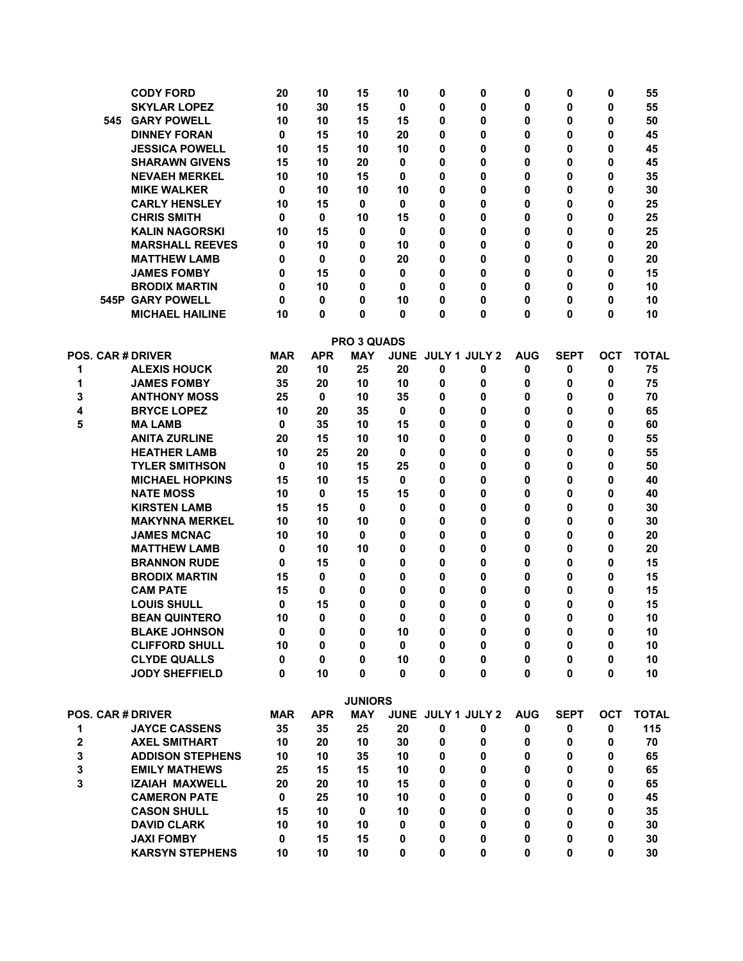|   |     | <b>CODY FORD</b>         | 20         | 10         | 15             | 10 | 0                  | 0 | 0          | 0           | 0          | 55           |
|---|-----|--------------------------|------------|------------|----------------|----|--------------------|---|------------|-------------|------------|--------------|
|   |     | <b>SKYLAR LOPEZ</b>      | 10         | 30         | 15             | 0  | 0                  | 0 | 0          | 0           | 0          | 55           |
|   | 545 | <b>GARY POWELL</b>       | 10         | 10         | 15             | 15 | 0                  | 0 | 0          | 0           | 0          | 50           |
|   |     | <b>DINNEY FORAN</b>      | 0          | 15         | 10             | 20 | 0                  | 0 | 0          | 0           | 0          | 45           |
|   |     | <b>JESSICA POWELL</b>    | 10         | 15         | 10             | 10 | 0                  | 0 | 0          | 0           | 0          | 45           |
|   |     | <b>SHARAWN GIVENS</b>    | 15         | 10         | 20             | 0  | 0                  | 0 | 0          | 0           | 0          | 45           |
|   |     | <b>NEVAEH MERKEL</b>     | 10         | 10         | 15             | 0  | 0                  | 0 | 0          | 0           | 0          | 35           |
|   |     | <b>MIKE WALKER</b>       | 0          | 10         | 10             | 10 | 0                  | 0 | 0          | 0           | 0          | 30           |
|   |     | <b>CARLY HENSLEY</b>     | 10         | 15         | 0              | 0  | 0                  | 0 | 0          | 0           | 0          | 25           |
|   |     | <b>CHRIS SMITH</b>       | 0          | 0          | 10             | 15 | 0                  | 0 | 0          | 0           | 0          | 25           |
|   |     | <b>KALIN NAGORSKI</b>    | 10         | 15         | 0              | 0  | 0                  | 0 | 0          | 0           | 0          | 25           |
|   |     | <b>MARSHALL REEVES</b>   | 0          | 10         | 0              | 10 | 0                  | 0 | 0          | 0           | 0          | 20           |
|   |     | <b>MATTHEW LAMB</b>      | 0          | 0          | 0              | 20 | 0                  | 0 | 0          | 0           | 0          | 20           |
|   |     | <b>JAMES FOMBY</b>       | 0          | 15         | 0              | 0  | 0                  | 0 | 0          | 0           | 0          | 15           |
|   |     | <b>BRODIX MARTIN</b>     | 0          | 10         | 0              | 0  | 0                  | 0 | 0          | 0           | 0          | 10           |
|   |     | <b>545P GARY POWELL</b>  | 0          | 0          | 0              | 10 | 0                  | 0 | 0          | 0           | 0          | 10           |
|   |     | <b>MICHAEL HAILINE</b>   | 10         | 0          | 0              | 0  | 0                  | 0 | 0          | 0           | 0          | 10           |
|   |     |                          |            |            |                |    |                    |   |            |             |            |              |
|   |     |                          |            |            | PRO 3 QUADS    |    |                    |   |            |             |            |              |
|   |     | <b>POS. CAR # DRIVER</b> | <b>MAR</b> | <b>APR</b> | <b>MAY</b>     |    | JUNE JULY 1 JULY 2 |   | <b>AUG</b> | <b>SEPT</b> | <b>OCT</b> | <b>TOTAL</b> |
| 1 |     | <b>ALEXIS HOUCK</b>      | 20         | 10         | 25             | 20 | 0                  | 0 | 0          | 0           | 0          | 75           |
| 1 |     | <b>JAMES FOMBY</b>       | 35         | 20         | 10             | 10 | 0                  | 0 | 0          | 0           | 0          | 75           |
| 3 |     | <b>ANTHONY MOSS</b>      | 25         | 0          | 10             | 35 | 0                  | 0 | 0          | 0           | 0          | 70           |
| 4 |     | <b>BRYCE LOPEZ</b>       | 10         | 20         | 35             | 0  | 0                  | 0 | 0          | 0           | 0          | 65           |
| 5 |     | <b>MALAMB</b>            | 0          | 35         | 10             | 15 | 0                  | 0 | 0          | 0           | 0          | 60           |
|   |     | <b>ANITA ZURLINE</b>     | 20         | 15         | 10             | 10 | 0                  | 0 | 0          | 0           | 0          | 55           |
|   |     | <b>HEATHER LAMB</b>      | 10         | 25         | 20             | 0  | 0                  | 0 | 0          | 0           | 0          | 55           |
|   |     | <b>TYLER SMITHSON</b>    | 0          | 10         | 15             | 25 | 0                  | 0 | 0          | 0           | 0          | 50           |
|   |     | <b>MICHAEL HOPKINS</b>   | 15         | 10         | 15             | 0  | 0                  | 0 | 0          | 0           | 0          | 40           |
|   |     | <b>NATE MOSS</b>         | 10         | 0          | 15             | 15 | 0                  | 0 | 0          | 0           | 0          | 40           |
|   |     | <b>KIRSTEN LAMB</b>      | 15         | 15         | 0              | 0  | 0                  | 0 | 0          | 0           | 0          | 30           |
|   |     | <b>MAKYNNA MERKEL</b>    | 10         | 10         | 10             | 0  | 0                  | 0 | 0          | 0           | 0          | 30           |
|   |     | <b>JAMES MCNAC</b>       | 10         | 10         | 0              | 0  | 0                  | 0 | 0          | 0           | 0          | 20           |
|   |     | <b>MATTHEW LAMB</b>      | 0          | 10         | 10             | 0  | 0                  | 0 | 0          | 0           | 0          | 20           |
|   |     | <b>BRANNON RUDE</b>      | 0          | 15         | 0              | 0  | 0                  | 0 | 0          | 0           | 0          | 15           |
|   |     | <b>BRODIX MARTIN</b>     | 15         | 0          | 0              | 0  | 0                  | 0 | 0          | 0           | 0          | 15           |
|   |     | <b>CAM PATE</b>          | 15         | 0          | 0              | 0  | 0                  | 0 | 0          | 0           | 0          | 15           |
|   |     | <b>LOUIS SHULL</b>       | 0          | 15         | 0              | 0  | 0                  | 0 | 0          | 0           | 0          | 15           |
|   |     | <b>BEAN QUINTERO</b>     | 10         | 0          | 0              | 0  | 0                  | 0 | 0          | 0           | 0          | 10           |
|   |     | <b>BLAKE JOHNSON</b>     | 0          | 0          | 0              | 10 | 0                  | 0 | 0          | 0           | 0          | 10           |
|   |     | <b>CLIFFORD SHULL</b>    | 10         | 0          | 0              | 0  | 0                  | 0 | 0          | 0           | 0          | 10           |
|   |     | <b>CLYDE QUALLS</b>      | 0          | 0          | 0              | 10 | 0                  | 0 | 0          | 0           | 0          | 10           |
|   |     | <b>JODY SHEFFIELD</b>    | 0          | 10         | 0              | 0  | 0                  | 0 | 0          | 0           | 0          | 10           |
|   |     |                          |            |            | <b>JUNIORS</b> |    |                    |   |            |             |            |              |
|   |     | <b>POS. CAR # DRIVER</b> | <b>MAR</b> | <b>APR</b> | <b>MAY</b>     |    | JUNE JULY 1 JULY 2 |   | <b>AUG</b> | <b>SEPT</b> | <b>OCT</b> | <b>TOTAL</b> |
| 1 |     | <b>JAYCE CASSENS</b>     | 35         | 35         | 25             | 20 | 0                  | 0 | 0          | 0           | 0          | 115          |
| 2 |     | <b>AXEL SMITHART</b>     | 10         | 20         | 10             | 30 | 0                  | 0 | 0          | 0           | 0          | 70           |
| 3 |     | <b>ADDISON STEPHENS</b>  | 10         | 10         | 35             | 10 | $\mathbf 0$        | 0 | 0          | 0           | 0          | 65           |
| 3 |     | <b>EMILY MATHEWS</b>     | 25         | 15         | 15             | 10 | 0                  | 0 | 0          | 0           | 0          | 65           |
| 3 |     | <b>IZAIAH MAXWELL</b>    | 20         | 20         | 10             | 15 | 0                  | 0 | 0          | 0           | 0          | 65           |
|   |     | <b>CAMERON PATE</b>      | 0          | 25         | 10             | 10 | 0                  | 0 | 0          | 0           | 0          | 45           |
|   |     | <b>CASON SHULL</b>       | 15         | 10         | 0              | 10 | 0                  | 0 | 0          | 0           | 0          | 35           |
|   |     | <b>DAVID CLARK</b>       | 10         | 10         | 10             | 0  | 0                  | 0 | 0          | 0           | 0          | 30           |
|   |     | <b>JAXI FOMBY</b>        | 0          | 15         | 15             | 0  | 0                  | 0 | 0          | 0           | 0          | 30           |
|   |     | <b>KARSYN STEPHENS</b>   | 10         | 10         | 10             | 0  | 0                  | 0 | 0          | 0           | 0          | 30           |
|   |     |                          |            |            |                |    |                    |   |            |             |            |              |